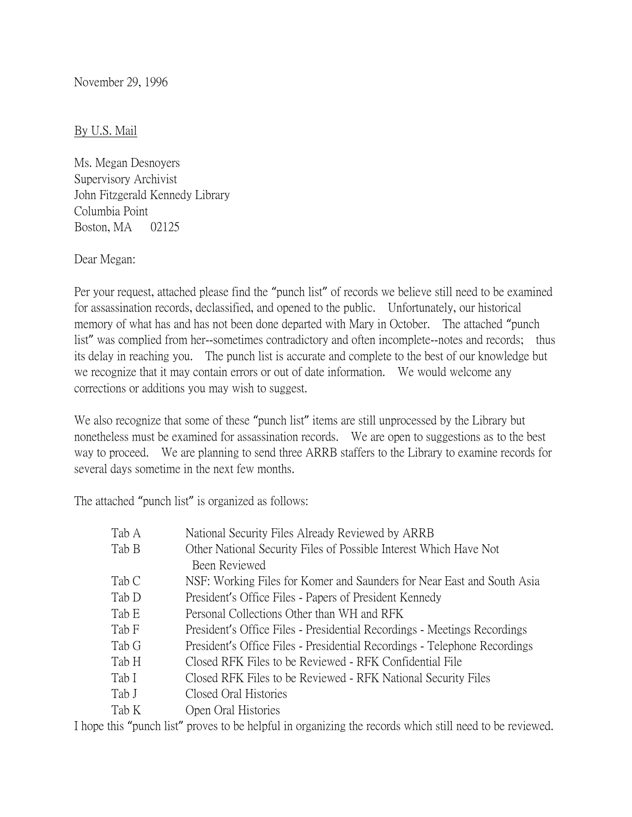November 29, 1996

## By U.S. Mail

Ms. Megan Desnoyers Supervisory Archivist John Fitzgerald Kennedy Library Columbia Point Boston, MA 02125

Dear Megan:

Per your request, attached please find the "punch list" of records we believe still need to be examined for assassination records, declassified, and opened to the public. Unfortunately, our historical memory of what has and has not been done departed with Mary in October. The attached "punch list" was complied from her--sometimes contradictory and often incomplete--notes and records; thus its delay in reaching you. The punch list is accurate and complete to the best of our knowledge but we recognize that it may contain errors or out of date information. We would welcome any corrections or additions you may wish to suggest.

We also recognize that some of these "punch list" items are still unprocessed by the Library but nonetheless must be examined for assassination records. We are open to suggestions as to the best way to proceed. We are planning to send three ARRB staffers to the Library to examine records for several days sometime in the next few months.

The attached "punch list" is organized as follows:

| Tab A | National Security Files Already Reviewed by ARRB                          |
|-------|---------------------------------------------------------------------------|
| Tab B | Other National Security Files of Possible Interest Which Have Not         |
|       | Been Reviewed                                                             |
| Tab C | NSF: Working Files for Komer and Saunders for Near East and South Asia    |
| Tab D | President's Office Files - Papers of President Kennedy                    |
| Tab E | Personal Collections Other than WH and RFK                                |
| Tab F | President's Office Files - Presidential Recordings - Meetings Recordings  |
| Tab G | President's Office Files - Presidential Recordings - Telephone Recordings |
| Tab H | Closed RFK Files to be Reviewed - RFK Confidential File                   |
| Tab I | Closed RFK Files to be Reviewed - RFK National Security Files             |
| Tab J | Closed Oral Histories                                                     |
| Tab K | Open Oral Histories                                                       |

I hope this "punch list" proves to be helpful in organizing the records which still need to be reviewed.